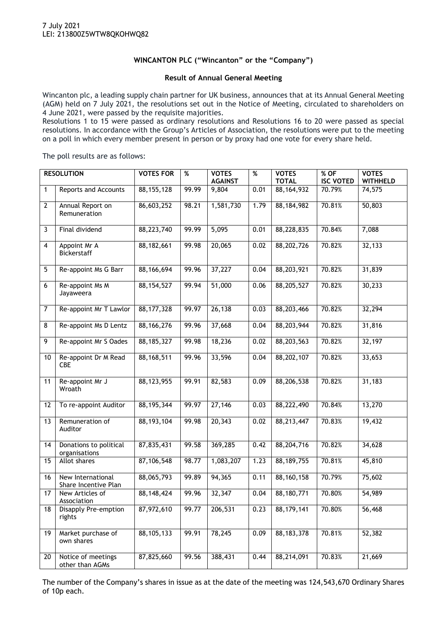## **WINCANTON PLC ("Wincanton" or the "Company")**

## **Result of Annual General Meeting**

Wincanton plc, a leading supply chain partner for UK business, announces that at its Annual General Meeting (AGM) held on 7 July 2021, the resolutions set out in the Notice of Meeting, circulated to shareholders on 4 June 2021, were passed by the requisite majorities.

Resolutions 1 to 15 were passed as ordinary resolutions and Resolutions 16 to 20 were passed as special resolutions. In accordance with the Group's Articles of Association, the resolutions were put to the meeting on a poll in which every member present in person or by proxy had one vote for every share held.

The poll results are as follows:

| <b>RESOLUTION</b> |                                           | <b>VOTES FOR</b> | %     | <b>VOTES</b><br><b>AGAINST</b> | $\%$ | <b>VOTES</b><br><b>TOTAL</b> | % OF<br><b>ISC VOTED</b> | <b>VOTES</b><br><b>WITHHELD</b> |
|-------------------|-------------------------------------------|------------------|-------|--------------------------------|------|------------------------------|--------------------------|---------------------------------|
| $\mathbf{1}$      | <b>Reports and Accounts</b>               | 88, 155, 128     | 99.99 | 9,804                          | 0.01 | 88, 164, 932                 | 70.79%                   | 74,575                          |
|                   |                                           |                  |       |                                |      |                              |                          |                                 |
| $\mathbf{2}$      | Annual Report on<br>Remuneration          | 86,603,252       | 98.21 | 1,581,730                      | 1.79 | 88, 184, 982                 | 70.81%                   | 50,803                          |
| 3                 | Final dividend                            | 88,223,740       | 99.99 | 5,095                          | 0.01 | 88,228,835                   | 70.84%                   | 7,088                           |
| $\overline{4}$    | Appoint Mr A<br><b>Bickerstaff</b>        | 88,182,661       | 99.98 | 20,065                         | 0.02 | 88,202,726                   | 70.82%                   | 32,133                          |
| 5                 | Re-appoint Ms G Barr                      | 88,166,694       | 99.96 | 37,227                         | 0.04 | 88,203,921                   | 70.82%                   | 31,839                          |
| 6                 | Re-appoint Ms M<br>Jayaweera              | 88, 154, 527     | 99.94 | 51,000                         | 0.06 | 88,205,527                   | 70.82%                   | 30,233                          |
| $\overline{7}$    | Re-appoint Mr T Lawlor                    | 88, 177, 328     | 99.97 | 26,138                         | 0.03 | 88,203,466                   | 70.82%                   | 32,294                          |
| 8                 | Re-appoint Ms D Lentz                     | 88, 166, 276     | 99.96 | 37,668                         | 0.04 | 88,203,944                   | 70.82%                   | 31,816                          |
| 9                 | Re-appoint Mr S Oades                     | 88, 185, 327     | 99.98 | 18,236                         | 0.02 | 88,203,563                   | 70.82%                   | 32,197                          |
| 10                | Re-appoint Dr M Read<br>CBE               | 88, 168, 511     | 99.96 | 33,596                         | 0.04 | 88,202,107                   | 70.82%                   | 33,653                          |
| 11                | Re-appoint Mr J<br>Wroath                 | 88, 123, 955     | 99.91 | 82,583                         | 0.09 | 88,206,538                   | 70.82%                   | 31,183                          |
| 12                | To re-appoint Auditor                     | 88, 195, 344     | 99.97 | 27,146                         | 0.03 | 88,222,490                   | 70.84%                   | 13,270                          |
| 13                | Remuneration of<br>Auditor                | 88, 193, 104     | 99.98 | 20,343                         | 0.02 | 88,213,447                   | 70.83%                   | 19,432                          |
| 14                | Donations to political<br>organisations   | 87,835,431       | 99.58 | 369,285                        | 0.42 | 88,204,716                   | 70.82%                   | 34,628                          |
| 15                | Allot shares                              | 87, 106, 548     | 98.77 | 1,083,207                      | 1.23 | 88, 189, 755                 | 70.81%                   | 45,810                          |
| 16                | New International<br>Share Incentive Plan | 88,065,793       | 99.89 | 94,365                         | 0.11 | 88, 160, 158                 | 70.79%                   | 75,602                          |
| 17                | New Articles of<br>Association            | 88, 148, 424     | 99.96 | 32,347                         | 0.04 | 88,180,771                   | 70.80%                   | 54,989                          |
| 18                | <b>Disapply Pre-emption</b><br>rights     | 87,972,610       | 99.77 | 206, 531                       | 0.23 | 88, 179, 141                 | 70.80%                   | 56,468                          |
| 19                | Market purchase of<br>own shares          | 88, 105, 133     | 99.91 | 78,245                         | 0.09 | 88, 183, 378                 | 70.81%                   | 52,382                          |
| 20                | Notice of meetings<br>other than AGMs     | 87,825,660       | 99.56 | 388,431                        | 0.44 | 88,214,091                   | 70.83%                   | 21,669                          |

The number of the Company's shares in issue as at the date of the meeting was 124,543,670 Ordinary Shares of 10p each.